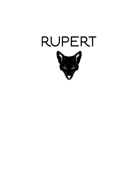

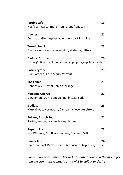| <b>Parting Gift</b><br>Malfy Gin Rosa, lime, bitters, grapefruit, salt           | 19 |
|----------------------------------------------------------------------------------|----|
| Livener<br>Cognac or Gin, raspberry, lemon, sparkling wine                       | 21 |
| <b>Tuxedo No. 2</b><br>Gin, dry vermouth, maraschino, absinthe, bitters          | 23 |
| Dark 'N' Stormy<br>Gosling's Black Seal, house-made ginger syrup, lime, soda     | 20 |
| <b>Casa Negroni</b><br>Gin, Campari, Casa Mariol Vermut                          | 23 |
| <b>The Fence</b><br>Hennessy VS, Cynar, lemon, orange                            | 21 |
| <b>Madame George</b><br>Gin, lemon, DOM Benedictine, bitters, soda               | 22 |
| <b>Godless</b><br>Mezcal, yuzu vermouth, Campari, chocolate bitters              | 23 |
| <b>Bellamy Scotch Sour</b><br>Scotch, lemon, orange, honey, bitters              | 21 |
| <b>Ruperto Loco</b><br>Rye Whiskey, Mr. Black, Banana, Coconut, Salt             | 22 |
| <b>Jimmy Jazz</b><br>Jameson Black Barrel, Cocchi Americano, Triple Sec, bitters | 24 |

*Something else in mind? Let us know what you're in the mood for and we can make a classic or a twist to suit your desire*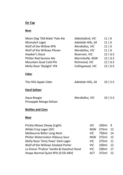## **On Tap**

### **Beer**

| Moon Dog 'Old Mate' Pale Ale   | Abbottsford, VIC   | 11 6       |
|--------------------------------|--------------------|------------|
| Mismatch Lager                 | Adelaide Hills, SA | 11   6     |
| Wolf of the Willow XPA         | Mordialloc, VIC    | 11 6       |
| Wolf of the Willows Pilsner    | Mordialloc, VIC    | 11   6     |
| Hawker's Stout                 | Reservoir, VIC     | 12   6.5   |
| <b>Philter Red Session Ale</b> | Marrickville, NSW  | 12   6.5   |
| Mountain Goat Cold IPA         | Richmond, VIC      | 12   6.5   |
| Molly Rose 'Skylight' IPA      | Collingwood, VIC   | 12   6.5   |
|                                |                    |            |
| Cider                          |                    |            |
| The Hills Apple Cider          | Adelaide Hills, SA | 10   5.5   |
|                                |                    |            |
| <b>Hard Seltzer</b>            |                    |            |
| Aqua Boogie                    | Mordialloc. VIC    | $10$   5.5 |
| Pineapple Mango Seltzer        |                    |            |
|                                |                    |            |

# **Bottles and Cans**

### **Beer**

| Prickly Moses Otway (Light)                  | VIC.       | 330ml | - 9 |
|----------------------------------------------|------------|-------|-----|
| Wilde Crisp Lager (GF)                       | <b>NSW</b> | 375ml | 12  |
| Melbourne Bitter Long Neck                   | VIC.       | 750ml | 14  |
| Philter Watermelon Hibiscus Sour             | <b>NSW</b> | 375ml | 12  |
| Molly Rose 'Dirty Paws' Dark Lager           | VIC.       | 375ml | 11  |
| Wolf of the Willows Smoked Porter            | VIC.       | 330ml | 12  |
| La Sirene 'Praline' Vanilla & Hazelnut Stout | VIC.       | 330ml | 17  |
| Heaps Normal Quiet XPA (0.5% ABV)            | ACT        | 375ml | 12  |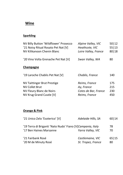# **Wine**

# **Sparkling**

| NV Billy Button 'Wildflower' Prosecco<br>'21 Noisy Ritual Rosato Pet Nat [V]<br>NV Kilikanoon Chenin Blanc         | Alpine Valley, VIC<br>Heathcote, VIC<br>Loire Valley, France         | 50 12<br>55 13<br>80 18  |
|--------------------------------------------------------------------------------------------------------------------|----------------------------------------------------------------------|--------------------------|
| '20 Vino Volta Grenache Pet Nat [V]                                                                                | Swan Valley, WA                                                      | 80                       |
| <b>Champagne</b>                                                                                                   |                                                                      |                          |
| '19 Laroche Chablis Pet Nat [V]                                                                                    | Chablis, France                                                      | 140                      |
| <b>NV Taittinger Brut Prestige</b><br><b>NV Collet Brut</b><br>NV Fleury Blanc de Noirs<br>NV Krug Grand Cuvée [V] | Reims, France<br>Ay, France<br>Cotes de Bar, France<br>Reims, France | 175<br>215<br>230<br>450 |

## **Orange & Pink**

| '21 Unico Zelo 'Esoterico' [V]                                                        | Adelaide Hills, SA                     | 60 14       |
|---------------------------------------------------------------------------------------|----------------------------------------|-------------|
| '19 Terra di Briganti 'Nato Nudo' Fiano [V]Campania, Italy<br>'17 Ben Haines Marsanne | Yarra Valley, VIC                      | 78<br>70    |
| '21 Fairbank Rosé<br>'20 M de Minuty Rosé                                             | Castlemaine, VIC<br>St. Tropez, France | 65 15<br>80 |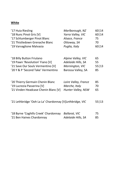#### **White**

| '17 Huia Riesling                                        | Marlborough, NZ      | 60   14 |
|----------------------------------------------------------|----------------------|---------|
| '18 Nunc Pinot Gris [V]                                  | Yarra Valley, VIC    | 60 14   |
| '17 Schlumberger Pinot Blanc                             | Alsace, France       | 75      |
| '21 Thistledown Grenache Blanc                           | Ottoway, SA          | 70      |
| '19 Varvaglione Malvasia                                 | Puglia, Italy        | 60 14   |
| '18 Billy Button Friulano                                | Alpine Valley, VIC   | 65      |
| '19 Pawn 'Revolution' Fiano [V]                          | Adelaide Hills, SA   | 55      |
| '21 Save Our Souls Vermentino [V]                        | Mornington, VIC      | 55 13   |
| '20 Y & P 'Second Take' Vermentino                       | Barossa Valley, SA   | 85      |
| '20 Thierry Germain Chenin Blanc                         | Loire Valley, France | 85      |
| '19 Lucrezia Passerina [V]                               | Marche, Italy        | 70      |
| '21 Vinden Headcase Chenin Blanc [V]                     | Hunter Valley, NSW   | 65      |
| '21 Lethbridge 'Ooh La La' Chardonnay [V]Lethbridge, VIC |                      | 55 13   |
| '18 Byrne 'Coghills Creek' Chardonnay                    | <b>Ballarat, VIC</b> | 75      |
| '21 Ben Haines Chardonnay                                | Adelaide Hills, SA   | 85      |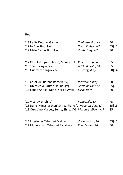#### **Red**

| '18 Petits Detours Gamay                                                                                                                         | Toulouse, France   | 50                |
|--------------------------------------------------------------------------------------------------------------------------------------------------|--------------------|-------------------|
| '19 Le Bon Pinot Noir                                                                                                                            | Yarra Valley, VIC  | 55 13             |
| '19 Main Divide Pinot Noir                                                                                                                       | Canterbury, NZ     | 80                |
| '17 Castillo Enguera Temp, Monastrell                                                                                                            | Valencia, Spain    | 65                |
| '19 Spinifex Aglianico                                                                                                                           | Adelaide Hills, SA | 65                |
| '16 Querceto Sangiovese                                                                                                                          | Tuscany, Italy     | 60   14           |
| '18 Casali del Barone Barbera [V]                                                                                                                | Piedmont, Italy    | 60                |
| '19 Unico Zelo 'Truffle Hound' [V]                                                                                                               | Adelaide Hills, SA | 55 13             |
| '18 Fondo Antico 'Nene' Nero d'Avola                                                                                                             | Sicily, Italy      | 70                |
| '20 Viceroy Syrah [V]<br>'18 Dune 'Mingsha Shan' Shiraz, Fiano [V] McLaren Vale, SA<br>'19 Otro Vino Malbec, Temp, Shiraz [V] Margaret River, WA | Kangarilla, SA     | 75<br>55 13<br>85 |
| '16 Interloper Cabernet Malbec                                                                                                                   | Coonawarra, SA     | 55 13             |
| '17 Mountadam Cabernet Sauvignon                                                                                                                 | Eden Valley, SA    | 60                |